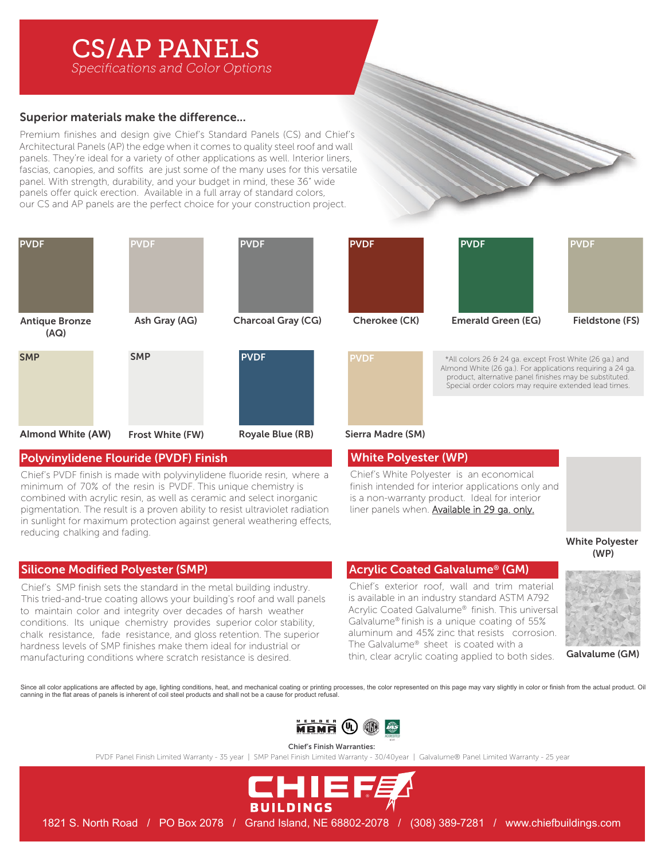# CS/AP PANELS

**Specifications and Color Options** 

# Superior materials make the difference...

Premium finishes and design give Chief's Standard Panels (CS) and Chief's Architectural Panels (AP) the edge when it comes to quality steel roof and wall panels. They're ideal for a variety of other applications as well. Interior liners, fascias, canopies, and soffits are just some of the many uses for this versatile panel. With strength, durability, and your budget in mind, these 36" wide panels offer quick erection. Available in a full array of standard colors, our CS and AP panels are the perfect choice for your construction project.



## Polyvinylidene Flouride (PVDF) Finish

Chief's PVDF finish is made with polyvinylidene fluoride resin, where a minimum of 70% of the resin is PVDF. This unique chemistry is combined with acrylic resin, as well as ceramic and select inorganic pigmentation. The result is a proven ability to resist ultraviolet radiation in sunlight for maximum protection against general weathering effects reducing chalking and fading.

# Silicone Modified Polyester (SMP)

Chief's SMP finish sets the standard in the metal building industry. This tried-and-true coating allows your building's roof and wall panels to maintain color and integrity over decades of harsh weather conditions. Its unique chemistry provides superior color stability, chalk resistance, fade resistance, and gloss retention. The superior hardness levels of SMP finishes make them ideal for industrial or manufacturing conditions where scratch resistance is desired.



\*All colors 26 & 24 ga. except Frost White (26 ga.) and Almond White (26 ga.). For applications requiring a 24 ga. product, alternative panel finishes may be substituted. Special order colors may require extended lead times.

## ) Sierra Madre (SM)

## White Polyester (WP)

Chief's White Polyester is an economical finish intended for interior applications only and is a non-warranty product. Ideal for interior liner panels when. Available in 29 ga. only.

## **White Polyester**  $(WP)$

## Acrylic Coated Galvalume® (GM)

Chief's exterior roof, wall and trim material is available in an industry standard ASTM A792 Acrylic Coated Galvalume® finish. This universal Galvalume® finish is a unique coating of 55% aluminum and 45% zinc that resists corrosion. The Galvalume® sheet is coated with a thin, clear acrylic coating applied to both sides.



Galvalume (GM)

Since all color applications are affected by age, lighting conditions, heat, and mechanical coating or printing processes, the color represented on this page may vary slightly in color or finish from the actual product. Oi canning in the flat areas of panels is inherent of coil steel products and shall not be a cause for product refusal.



Chief's Finish Warranties: PVDF Panel Finish Limited Warranty - 35 year | SMP Panel Finish Limited Warranty - 30/40year | Galvalume® Panel Limited Warranty - 25 year



1821 S. North Road / PO Box 2078 / Grand Island, NE 68802-2078 / (308) 389-7281 / www.chiefbuildings.com